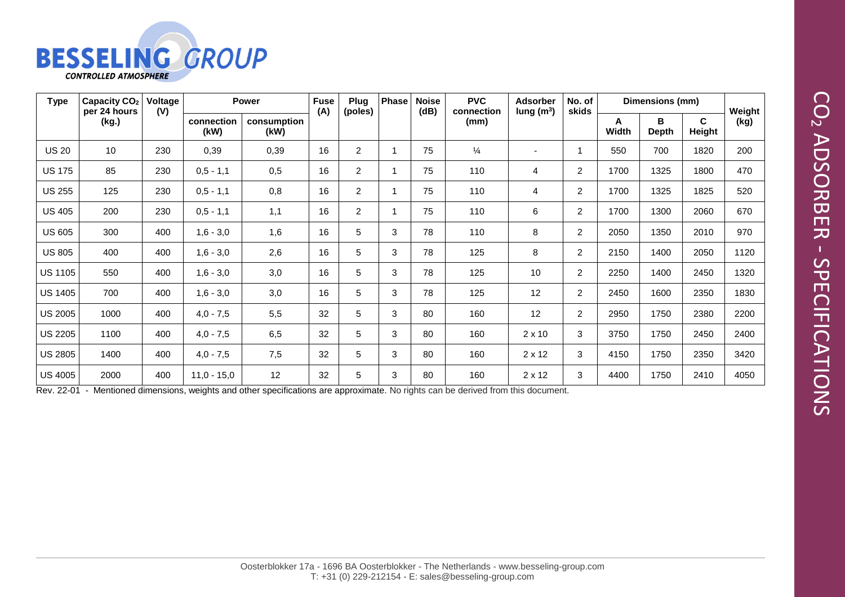

| <b>Type</b>    | Capacity CO <sub>2</sub><br>per 24 hours<br>(kg.) | Voltage<br>(V) | <b>Power</b>       |                     | <b>Fuse</b><br>(A) | Plug<br>(poles) | <b>Phase</b> | <b>Noise</b><br>(dB) | <b>PVC</b><br>connection | <b>Adsorber</b><br>lung $(m^3)$ | No. of<br>skids | Dimensions (mm)   |                   |                        | Weight |
|----------------|---------------------------------------------------|----------------|--------------------|---------------------|--------------------|-----------------|--------------|----------------------|--------------------------|---------------------------------|-----------------|-------------------|-------------------|------------------------|--------|
|                |                                                   |                | connection<br>(kW) | consumption<br>(kW) |                    |                 |              |                      | (mm)                     |                                 |                 | A<br><b>Width</b> | в<br><b>Depth</b> | $\mathbf{c}$<br>Height | (kg)   |
| <b>US 20</b>   | 10                                                | 230            | 0,39               | 0,39                | 16                 | $\overline{c}$  |              | 75                   | $\frac{1}{4}$            | -                               | 1               | 550               | 700               | 1820                   | 200    |
| <b>US 175</b>  | 85                                                | 230            | $0,5 - 1,1$        | 0,5                 | 16                 | $\overline{2}$  |              | 75                   | 110                      | $\overline{4}$                  | $\overline{a}$  | 1700              | 1325              | 1800                   | 470    |
| <b>US 255</b>  | 125                                               | 230            | $0,5 - 1,1$        | 0,8                 | 16                 | $\overline{2}$  |              | 75                   | 110                      | 4                               | $\overline{a}$  | 1700              | 1325              | 1825                   | 520    |
| <b>US 405</b>  | 200                                               | 230            | $0,5 - 1,1$        | 1,1                 | 16                 | $\overline{2}$  |              | 75                   | 110                      | 6                               | $\overline{a}$  | 1700              | 1300              | 2060                   | 670    |
| <b>US 605</b>  | 300                                               | 400            | $1,6 - 3,0$        | 1,6                 | 16                 | 5               | 3            | 78                   | 110                      | 8                               | $\overline{a}$  | 2050              | 1350              | 2010                   | 970    |
| <b>US 805</b>  | 400                                               | 400            | $1,6 - 3,0$        | 2,6                 | 16                 | 5               | 3            | 78                   | 125                      | 8                               | $\overline{a}$  | 2150              | 1400              | 2050                   | 1120   |
| <b>US 1105</b> | 550                                               | 400            | $1,6 - 3,0$        | 3,0                 | 16                 | 5               | 3            | 78                   | 125                      | 10                              | $\overline{a}$  | 2250              | 1400              | 2450                   | 1320   |
| <b>US 1405</b> | 700                                               | 400            | $1,6 - 3,0$        | 3,0                 | 16                 | 5               | 3            | 78                   | 125                      | 12                              | $\overline{2}$  | 2450              | 1600              | 2350                   | 1830   |
| <b>US 2005</b> | 1000                                              | 400            | $4,0 - 7,5$        | 5,5                 | 32                 | 5               | 3            | 80                   | 160                      | 12                              | $\overline{a}$  | 2950              | 1750              | 2380                   | 2200   |
| <b>US 2205</b> | 1100                                              | 400            | $4,0 - 7,5$        | 6,5                 | 32                 | 5               | 3            | 80                   | 160                      | $2 \times 10$                   | 3               | 3750              | 1750              | 2450                   | 2400   |
| <b>US 2805</b> | 1400                                              | 400            | $4,0 - 7,5$        | 7,5                 | 32                 | 5               | 3            | 80                   | 160                      | $2 \times 12$                   | 3               | 4150              | 1750              | 2350                   | 3420   |
| <b>US 4005</b> | 2000                                              | 400            | $11,0 - 15,0$      | 12                  | 32                 | 5               | 3            | 80                   | 160                      | $2 \times 12$                   | 3               | 4400              | 1750              | 2410                   | 4050   |

Rev. 22-01 - Mentioned dimensions, weights and other specifications are approximate. No rights can be derived from this document.